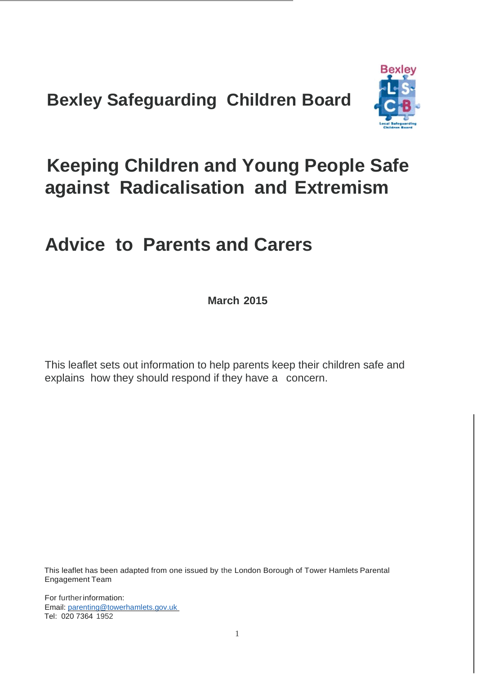**Bexley Safeguarding Children Board**



# **Keeping Children and Young People Safe against Radicalisation and Extremism**

# **Advice to Parents and Carers**

**March 2015**

This leaflet sets out information to help parents keep their children safe and explains how they should respond if they have a concern.

This leaflet has been adapted from one issued by the London Borough of Tower Hamlets Parental Engagement Team

For furtherinformation: Email: [parenting@towerhamlets.gov.uk](mailto:parenting@towerhamlets.gov.uk)  Tel: 020 7364 1952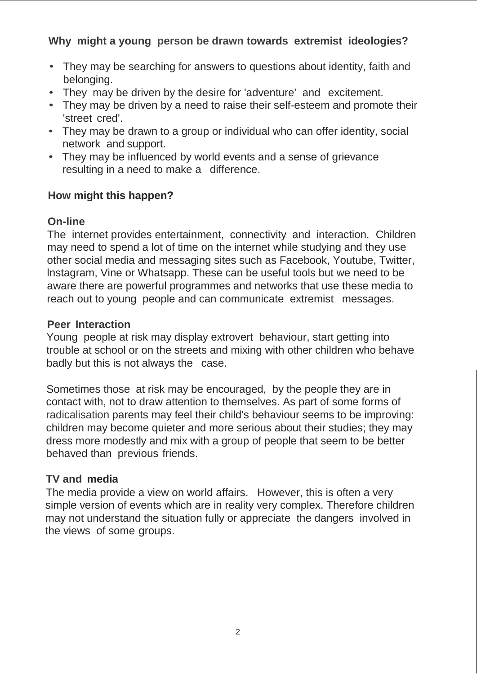# **Why might a young person be drawn towards extremist ideologies?**

- They may be searching for answers to questions about identity, faith and belonging.
- They may be driven by the desire for 'adventure' and excitement.
- They may be driven by a need to raise their self-esteem and promote their 'street cred'.
- They may be drawn to a group or individual who can offer identity, social network and support.
- They may be influenced by world events and a sense of grievance resulting in a need to make a difference.

## **How might this happen?**

# **On-line**

The internet provides entertainment, connectivity and interaction. Children may need to spend a lot of time on the internet while studying and they use other social media and messaging sites such as Facebook, Youtube, Twitter, lnstagram, Vine or Whatsapp. These can be useful tools but we need to be aware there are powerful programmes and networks that use these media to reach out to young people and can communicate extremist messages.

## **Peer Interaction**

Young people at risk may display extrovert behaviour, start getting into trouble at school or on the streets and mixing with other children who behave badly but this is not always the case.

Sometimes those at risk may be encouraged, by the people they are in contact with, not to draw attention to themselves. As part of some forms of radicalisation parents may feel their child's behaviour seems to be improving: children may become quieter and more serious about their studies; they may dress more modestly and mix with a group of people that seem to be better behaved than previous friends.

## **TV and media**

The media provide a view on world affairs. However, this is often a very simple version of events which are in reality very complex. Therefore children may not understand the situation fully or appreciate the dangers involved in the views of some groups.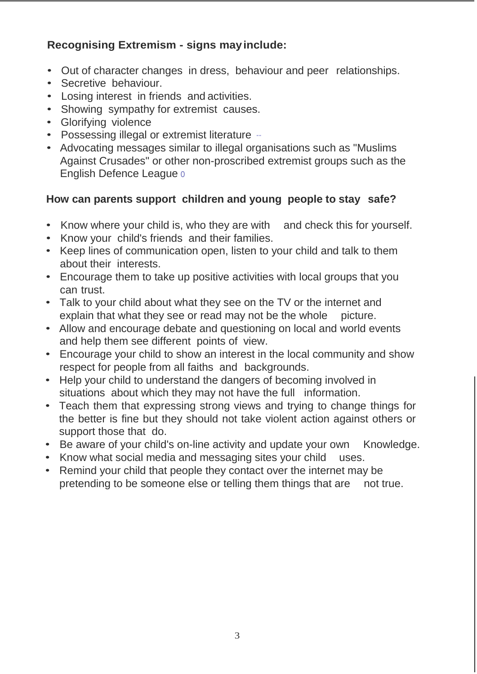# **Recognising Extremism - signs mayinclude:**

- Out of character changes in dress, behaviour and peer relationships.
- Secretive behaviour.
- Losing interest in friends and activities.
- Showing sympathy for extremist causes.
- Glorifying violence
- Possessing illegal or extremist literature -
- Advocating messages similar to illegal organisations such as "Muslims Against Crusades" or other non-proscribed extremist groups such as the English Defence League o

# **How can parents support children and young people to stay safe?**

- Know where your child is, who they are with and check this for yourself.
- Know your child's friends and their families.
- Keep lines of communication open, listen to your child and talk to them about their interests.
- Encourage them to take up positive activities with local groups that you can trust.
- Talk to your child about what they see on the TV or the internet and explain that what they see or read may not be the whole picture.
- Allow and encourage debate and questioning on local and world events and help them see different points of view.
- Encourage your child to show an interest in the local community and show respect for people from all faiths and backgrounds.
- Help your child to understand the dangers of becoming involved in situations about which they may not have the full information.
- Teach them that expressing strong views and trying to change things for the better is fine but they should not take violent action against others or support those that do.
- Be aware of your child's on-line activity and update your own Knowledge.
- Know what social media and messaging sites your child uses.
- Remind your child that people they contact over the internet may be pretending to be someone else or telling them things that are not true.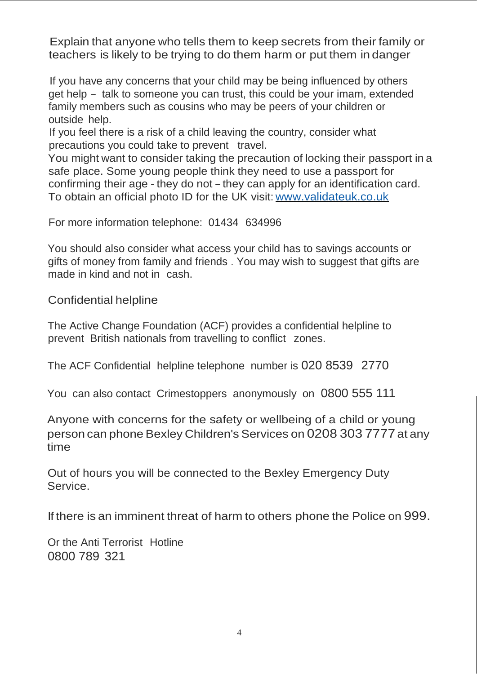Explain that anyone who tells them to keep secrets from their family or teachers is likely to be trying to do them harm or put them in danger

If you have any concerns that your child may be being influenced by others get help - talk to someone you can trust, this could be your imam, extended family members such as cousins who may be peers of your children or outside help.

If you feel there is a risk of a child leaving the country, consider what precautions you could take to prevent travel.

You might want to consider taking the precaution of locking their passport in a safe place. Some young people think they need to use a passport for confirming their age - they do not-they can apply for an identification card. To obtain an official photo ID for the UK visit: [www.validateuk.co.uk](http://www.validateuk.co.uk/)

For more information telephone: 01434 634996

You should also consider what access your child has to savings accounts or gifts of money from family and friends . You may wish to suggest that gifts are made in kind and not in cash.

Confidential helpline

The Active Change Foundation (ACF) provides a confidential helpline to prevent British nationals from travelling to conflict zones.

The ACF Confidential helpline telephone number is 020 8539 2770

You can also contact Crimestoppers anonymously on 0800 555 111

Anyone with concerns for the safety or wellbeing of a child or young person can phone Bexley Children's Services on 0208 303 7777 at any time

Out of hours you will be connected to the Bexley Emergency Duty Service.

If there is an imminent threat of harm to others phone the Police on 999.

Or the Anti Terrorist Hotline 0800 789 321